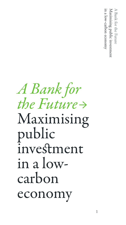A Bank for the Futurein a low-carbon economy Maximising public investmen Maximising public investment in a low-carbon economy A Bank for the Future

*A Bank for the Future→* Maximising public investment in a lowcarbon economy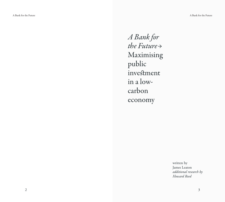*A Bank for the Future→* Maximising public investment in a lowcarbon economy

> written by James Leaton *additional research by Howard Reed*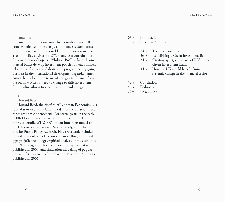# James Leaton

James Leaton is a sustainability consultant with 10 years experience in the energy and finance sectors. James previously worked in responsible investment research; as a senior policy advisor for WWF; and as a consultant at PricewaterhouseCoopers. Whilst at PwC he helped commercial banks develop investment policies on environmental and social issues, and designed a programme engaging business in the international development agenda. James currently works on the nexus of energy and finance, focusing on how systems need to change to shift investment from hydrocarbons to green transport and energy.

#### Howard Reed

Howard Reed, the director of Landman Economics, is a specialist in microsimulation models of the tax system and other economic phenomena. For several years in the early 2000s Howard was primarily responsible for the Institute for Fiscal Studies's TAXBEN microsimulation model of the UK tax-benefit system. More recently, at the Institute for Public Policy Research, Howard's work included several pieces of bespoke economic modelling for several ippr projects including: empirical analysis of the economic impacts of migration for the report Paying Their Way, published in 2005; and simulation modelling of population and fertility trends for the report Freedom's Orphans, published in 2006.

- $06 \rightarrow$  Introduction
- $10 \rightarrow$  Executive Summary
	- $14 \rightarrow$  The new banking context
	- 26 → Establishing a Green Investment Bank
	- $34 \rightarrow$  Creating synergy: the role of RBS in the Green Investment Bank
	- $44 \rightarrow$  How the UK would benefit from systemic change in the financial sector
- $52 \rightarrow$  Conclusion
- $54 \rightarrow$  Endnotes
- $56 \rightarrow$  Biographies

 $\rightarrow$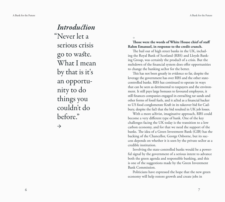*Introduction* Never let a "serious crisis go to waste. What I mean by that is it's an opportu nity to do things you couldn't do before."

 $\rightarrow$ 

 $\rightarrow$ 

# **Those were the words of White House chief of staff Rahm Emanuel, in response to the credit crunch.**

The bail out of high street banks in the UK, includ ing the Royal Bank of Scotland (RBS) and Lloyds Bank ing Group, was certainly the product of a crisis. But the meltdown of the financial system does offer opportunities to change the banking sector for the better.

This has not been greatly in evidence so far, despite the leverage the government has over RBS and the other statecontrolled banks. RBS has continued to operate in ways that can be seen as detrimental to taxpayers and the environ ment. It still pays large bonuses to favoured employees, it still finances companies engaged in extracting tar sands and other forms of fossil fuels, and it acted as a financial backer to US food conglomerate Kraft in its takeover bid for Cad bury, despite the fact that the bid resulted in UK job losses.

With a more activist, imaginative approach, RBS could become a very different type of bank. One of the key challenges facing the UK today is the transition to a low carbon economy, and for that we need the support of the banks. The idea of a Green Investment Bank (GIB) has the backing of the Chancellor, George Osborne, but its suc cess depends on whether it is seen by the private sector as a credible institution.

Involving the state-controlled banks would be a power ful signal by the government of a serious intent to advance both the green agenda and responsible banking, and this is one of the suggestions made by the Green Investment Bank Commission.

Politicians have expressed the hope that the new green economy will help restore growth and create jobs in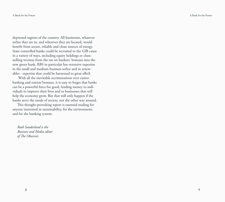A Bank for the Future

depressed regions of the country. All businesses, whatever sector they are in, and wherever they are located, would benefit from secure, reliable and clean sources of energy. State-controlled banks could be recruited to the GIB cause in a variety of ways, including equity holdings or channelling revenue from the tax on bankers' bonuses into the new green bank. RBS in particular has extensive expertise in the small and medium business sector and in renewables - expertise that could be harnessed to great effect.

 With all the inevitable recriminations over casino banking and outsize bonuses, it is easy to forget that banks can be a powerful force for good, lending money to individuals to improve their lives and to businesses that will help the economy grow. But that will only happen if the banks serve the needs of society, not the other way around.

This thought-provoking report is essential reading for anyone interested in sustainability, for the environment, and for the banking system.

*Ruth Sunderland is the Business and Media editor of The Observer.*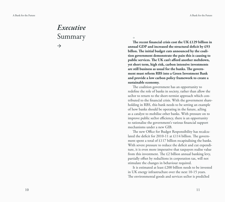# *Executive*  Summary

 $\rightarrow$ 

 $\rightarrow$ 

**The recent financial crisis cost the UK £129 billion in annual GDP and increased the structural deficit by £93 billon. The initial budget cuts announced by the coali tion government demonstrate the pain this is causing to public services. The UK can't afford another meltdown, yet short term, high risk, carbon intensive investments are still business as usual for the banks. The govern ment must reform RBS into a Green Investment Bank and provide a low carbon policy framework to create a sustainable economy.** 

The coalition government has an opportunity to redefine the role of banks in society, rather than allow the sector to return to the short-termist approach which con tributed to the financial crisis. With the government share holding in RBS, this bank needs to be setting an example of how banks should be operating in the future, acting as a catalyst to mobilise other banks. With pressure on to improve public sector efficiency, there is an opportunity to rationalise the government's various financial support mechanisms under a new GIB.

The new Office for Budget Responsibility has recalcu lated the deficit for 2010-11 at £114 billion. The govern ment spent a total of  $\pounds$ 117 billion recapitalising the banks. With severe pressure to reduce the deficit and cut expendi ture, it is even more imperative that taxpayers realise value from this investment. The £2 billion annual banking levy, partially offset by reductions in corporation tax, will not stimulate the changes in behaviour required.

It is estimated at least £200 billion needs to be invested in UK energy infrastructure over the next 10-15 years. The environmental goods and services sector is predicted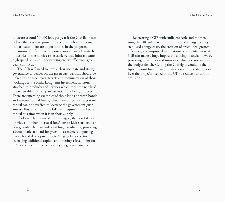to create around 50,000 jobs per year if the GIB Bank can deliver the potential growth in the low carbon economy. In particular there are opportunities in the proposed expansion of offshore wind power, supporting clean-tech industries in the north-east, electric vehicle infrastructure, high speed rail, and underwriting energy efficiency 'green deal' contracts.

The GIB will need to have a clear mandate and strong governance to deliver on the green agenda. This should be linked to the incentives, targets and remuneration of those working for the bank. Long term investment horizons attached to products and services which meet the needs of the renewables industry are essential to it being a success. There are emerging examples of these kinds of green bonds and venture capital funds, which demonstrate that private capital can be attracted to leverage the government guarantees. This also means the GIB will require limited state capital at a time when it is in short supply.

If adequately resourced and managed, the new GIB can provide a number of crucial functions to kick-start low-carbon growth. These include enabling risk-sharing; providing a benchmark standard for green investments; supporting research and development; attracting global expertise; leveraging additional capital; and offering a focal point for UK government policy coherency on green financing.

By creating a GIB with sufficient scale and momentum, the UK will benefit from improved energy security, stabilised energy costs, the creation of green jobs, greater efficiency, and improved international competitiveness. A GIB can make a huge impact on shifting financial flows by providing guarantees and insurance which do not increase the budget deficit. Getting the GIB right would be the tipping point for creating the infrastructure needed to deliver the projects needed in the UK to reduce our carbon emissions.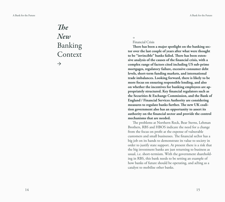*The New*  Banking Context

 $\rightarrow$ 

→ Financial Crisis

**There has been a major spotlight on the banking sec tor over the last couple of years after what were thought to be "invincible" banks failed. There has been exten sive analysis of the causes of the financial crisis, with a complex range of factors cited including US sub-prime mortgages, regulatory failure, excessive consumer debt levels, short-term funding markets, and international trade imbalances. Looking forward, there is likely to be more focus on ensuring responsible lending, and also on whether the incentives for banking employees are ap propriately structured. Key financial regulators such as the Securities & Exchange Commission, and the Bank of England / Financial Services Authority are considering measures to regulate banks further. The new UK coali tion government also has an opportunity to assert its authority on the financial sector and provide the control mechanisms that are needed.** 

The problems at Northern Rock, Bear Sterns, Lehman Brothers, RBS and HBOS indicate the need for a change from the focus on profit at the expense of vulnerable customers and small businesses. The financial sector has a big job on its hands to demonstrate its value to society in order to justify state support. At present there is a risk that the big investment banks are just returning to business as usual, i.e. short-termism. With the government sharehold ing in RBS, this bank needs to be setting an example of how banks of future should be operating, and acting as a catalyst to mobilise other banks.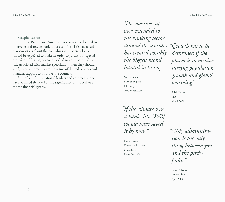#### →

# Recapitalisation

Both the British and American governments decided to intervene and rescue banks at crisis point. This has raised new questions about the contribution to society banks should be expected to make in order to justify this special protection. If taxpayers are expected to cover some of the risk associated with market speculation, then they should surely receive some reward, in terms of desired services and financial support to improve the country.

A number of international leaders and commentators have outlined the level of the significance of the bail out for the financial system.

*The massive sup-" port extended to the banking sector around the world... Growth has to be " has created possibly dethroned if the the biggest moral hazard in history."*

Mervyn King Bank of England Edinburgh 20 October 2009

*If the climate was " a bank, [the West] would have saved it by now."*

Hugo Chavez Venezuelan President Copenhagen December 2009

*planet is to survive surging population growth and global warming"* 

Adair Turner FSA March 2008

*My administra-"tion is the only thing between you and the pitchforks."* 

Barack Obama US President April 2009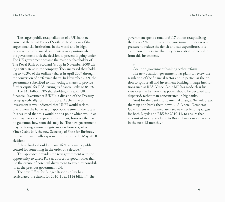The largest public recapitalisation of a UK bank occurred at the Royal Bank of Scotland. RBS is one of the largest financial institutions in the world and its high exposure to the financial crisis puts it in a position where the government took the decision to prevent it going under. The UK government became the majority shareholder of The Royal Bank of Scotland Group in November 2008 taking a 58% stake in the company. They increased their holding to 70.3% of the ordinary shares in April 2009 through the conversion of preference shares. In November 2009, the government subscribed to non-voting B shares to provide further capital for RBS, raising its financial stake to 84.4%.

The £45 billion RBS shareholding sits with UK Financial Investments (UKFI), a division of the Treasury set up specifically for this purpose.<sup>i</sup> At the time of investment it was indicated that UKFI would seek to divest from the banks at an appropriate time in the future. It is assumed that this would be at a point which would at least pay back the taxpayer's investment, however there is no guarantee how soon this may be. The new government may be taking a more long-term view however, which Vince Cable MP, the new Secretary of State for Business, Innovation and Skills expressed just prior to the May 2010 election:

"These banks should remain effectively under public control for something in the order of a decade."ii

This approach provides the new government with the opportunity to direct RBS as a force for good, rather than use the excuse of potential divestment to avoid responsibility as the previous government did.

The new Office for Budget Responsibility has recalculated the deficit for 2010-11 at £114 billion.<sup>iii</sup> The government spent a total of £117 billion recapitalising the banks.iv With the coalition government under severe pressure to reduce the deficit and cut expenditure, it is even more imperative that they demonstrate some value from this investment.

Coalition government banking sector reform

→

The new coalition government has plans to review the regulation of the financial sector and in particular the option to split retail and investment banking in large institutions such as RBS. Vince Cable MP has made clear his view over the last year that power should be devolved and dispersed, rather than concentrated in big banks.

"And for the banks: fundamental change. We will break them up and break them down… A Liberal Democrat Government will immediately set new net lending targets for both Lloyds and RBS for 2010-11, to ensure that amount of money available to British businesses increases in the next 12 months."v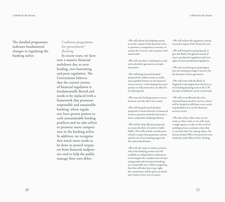The detailed programme indicates fundamental changes to regulating the banking sector.

Coalition programme for government<sup>vi</sup> *Banking* In recent years, we have seen a massive financial meltdown due to overlending, over-borrowing and poor regulation. The Government believes that the current system of financial regulation is fundamentally flawed and needs to be replaced with a framework that promotes responsible and sustainable banking, where regulators have greater powers to curb unsustainable lending practices and we take action to promote more competition in the banking sector. In addition, we recognise that much more needs to be done to protect taxpayers from financial malpractice and to help the public manage their own debts.

→We will reform the banking system to avoid a repeat of the financial crisis, to promote a competitive economy, to sustain the recovery and to protect and sustain jobs.

→We will introduce a banking levy and seek a detailed agreement on implementation.

→We will bring forward detailed proposals for robust action to tackle unacceptable bonuses in the financial services sector; in developing these proposals, we will ensure they are effective in reducing risk.

→We want the banking system to serve business, not the other way round.

→We will bring forward detailed proposals to foster diversity in financial services, promote mutuals and create a more competitive banking industry.

→We will develop effective proposals to ensure the flow of credit to viable SMEs. This will include consideration of both a major loan guarantee scheme and the use of net lending targets for the nationalised banks.

→We will take steps to reduce systemic risk in the banking system and will establish an independent commission to investigate the complex issue of separating retail and investment banking in a sustainable way; while recognising that this will take time to get right, the commission will be given an initial time frame of one year to report.

→We will reform the regulatory system to avoid a repeat of the financial crisis.

→We will bring forward proposals to give the Bank of England control of macro-prudential regulation and oversight of micro-prudential regulation.

→We rule out joining or preparing to join the European Single Currency for the duration of this agreement.

→We will work with the Bank of England to investigate how the process of including housing costs in the CPI measure of inflation can be accelerated.

→We will create Britain's first free national financial advice service, which will be funded in full from a new social responsibility levy on the financial services sector.

→We take white collar crime as seriously as other crime, so we will create a single agency to take on the work of tackling serious economic crime that is currently done by, among others, the Serious Fraud Office, Financial Services Authority and Office of Fair Trading.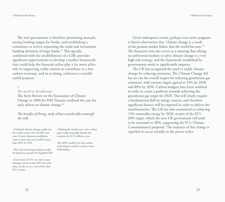The new government is therefore promoting mutuals, setting lending targets for banks, and establishing a committee to review separating the retail and investment banking divisions of large banks.<sup>vii</sup> This agenda, combined with the establishment of a GIB, provides significant opportunities to develop a market framework that could help the financial sector play a far more active role in supporting viable entities to contribute to a low carbon economy, and in so doing, rediscover a socially useful purpose.

#### →

The need to decarbonise

The Stern Review on the Economics of Climate Change in 2006 for HM Treasury outlined the case for early action on climate change:viii

*The benefits of strong, early action considerably outweigh the costs.*

the world at least 5% of GDP each year; if more dramatic predictions come to pass, the cost could be more than 20% of GDP.

→The cost of reducing emissions could be limited to around 1% of global GDP.

→Each tonne of  $\mathrm{CO}_2$  we emit causes damages worth at least \$85, but emissions can be cut at a cost of less than \$25 a tonne.

→Shifting the world onto a low-carbon path could eventually benefit the economy by \$2.5 trillion a year.

→By 2050, markets for low-carbon technologies could be worth at least \$500 billion.

Given subsequent events, perhaps even more poignant is Stern's observation that "climate change is a result of the greatest market failure that the world has seen."ix The financial crisis also serves as a warning that relying on unfettered markets to solve climate change is a very high risk strategy, and the framework established by governments needs to significantly improve.

The UK has recognised the need to tackle climate change by reducing emissions. The Climate Change Act has set out the overall targets for reducing greenhouse gas emissions, with current targets agreed at 34% by 2020 and 80% by 2050. Carbon budgets have been outlined in order to create a pathway towards achieving the greenhouse gas target for 2020. This will clearly require a fundamental shift in energy sources, and therefore significant finance will be required in order to deliver the transformation. The UK has also committed to achieving 15% renewable energy by 2020, as part of the EU's 20% target, which the new UK government will push to be increased to 30%, supporting the EU's Climate Commissioner's proposal.<sup>x</sup> The majority of this change is  $\rightarrow$ Unabated climate change could cost  $\rightarrow$ Shifting the world onto a low-carbon<br>the world at least 5% of GDP each path could eventually benefit the expected to occur initially in the power sector.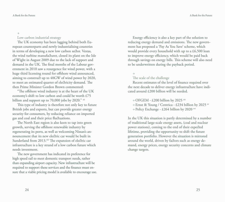→

Low carbon industrial strategy

The UK economy has been lagging behind both European counterparts and newly industrialising countries in terms of developing a new low carbon sector. Vestas, the wind turbine manufacturer, closed its plant on the Isle of Wight in August 2009 due to the lack of support and demand in the UK. The final months of the Labour government in 2010 saw a resurgence for wind power, with a huge third licensing round for offshore wind announced, aiming to construct up to 40GW of wind power by 2020, to meet an estimated quarter of electricity demand. The then Prime Minister Gordon Brown commented:

"The offshore wind industry is at the heart of the UK economy's shift to low carbon and could be worth £75 billion and support up to 70,000 jobs by 2020." xii

This type of industry is therefore not only key to future British jobs and exports, but can provide greater energy security for consumers, by reducing reliance on imported gas and coal and their price fluctuations.

The North East region is also keen to tap into green growth, serving the offshore renewable industry by regenerating its ports, as well as welcoming Nissan's announcement that its new electric car would be built in Sunderland from 2013.<sup>xiii</sup> The expansion of electric car infrastructure is a key strand of a low carbon future which needs investment.

The new government has indicated its preference for high speed rail to meet domestic transport needs, rather than expanding airport capacity. New infrastructure will be required to support these services and the finance must ensure that a viable pricing model is available to encourage use.

Energy efficiency is also a key part of the solution to reducing energy demand and emissions. The new government has proposed a 'Pay As You Save' scheme, which would provide every household with up to a £6,500 loan to improve energy efficiency, which would be paid back through savings on energy bills. This scheme will also need to be underwritten during the payback period.

# →

The scale of the challenge

Recent estimates of the level of finance required over the next decade to deliver energy infrastructure have indicated around £200 billion will be needed.

 $\rightarrow$  OFGEM - £200 billion by 2025 xiv

→ Ernst & Young / Centrica - £234 billion by 2025 xv

 $\rightarrow$  Policy Exchange - £264 billion by 2020 xvi

In the UK this situation is partly determined by a number of traditional large-scale energy assets, (coal and nuclear power stations), coming to the end of their expected lifetime, providing the opportunity to shift the future generation portfolio. However the situation is mirrored around the world, driven by factors such as energy demand, energy prices, energy security concerns and climate change targets.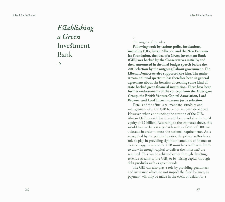*Establishing a Green*  Investment Bank

 $\rightarrow$ 

→ The origins of the idea

**Following work by various policy institutions, including E3G, Green Alliance, and the New Econom ics Foundation, the idea of a Green Investment Bank (GIB) was backed by the Conservatives initially, and then announced in the final budget speech before the 2010 election by the outgoing Labour government. The Liberal Democrats also supported the idea. The main stream political spectrum has therefore been in general agreement about the benefits of creating some kind of state-backed green financial institution. There have been further endorsements of the concept from the Aldersgate Group, the British Venture Capital Association, Lord Browne, and Lord Turner, to name just a selection.** 

Details of the actual size, mandate, structure and management of a UK GIB have not yet been developed. However, when announcing the creation of the GIB, Alistair Darling said that it would be provided with initial equity of £2 billion. According to the estimates above, this would have to be leveraged at least by a factor of 100 over a decade in order to meet the national requirements. As is recognised by the political parties, the private sector has a role to play in providing significant amounts of finance to clean energy; however the GIB must have sufficient funds to draw in enough capital to deliver the infrastructure required. This can be achieved either through directing revenue streams to the GIB, or by raising capital through debt products such as green bonds.

The GIB can also play a role by providing guarantees and insurance which do not impact the fiscal balance, as payment will only be made in the event of default or a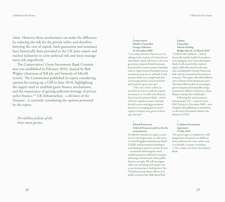claim. However these mechanisms can make the difference by reducing the risk for the private sector and therefore lowering the cost of capital. Such guarantees and insurance have historically been provided to the UK arms export and nuclear industries to cover political risk and waste management risk respectively.

The Conservatives' Green Investment Bank Commission was established in February 2010, chaired by Bob Wigley (chairman of Yell plc and formerly of Merrill Lynch). The Commission published its report considering options for setting up a GIB in June 2010, highlighting the urgent need to establish green finance mechanisms, and the importance of getting sufficient leverage of private sector finance.<sup>xvii</sup> UK Infrastructure - a division of the Treasury - is currently considering the options presented by the report.

*Pre-election policies of the three main parties:*

#### → Conservatives Shadow Chancellor George Osbourne 24 November 2009

"I can today announce that we are consulting on the creation of a Green Investment Bank, which will invest in the next generation of green British businesses. Instead of the current system of multiple sources of government funding for green investment projects, we will look to roll up these funds into a single bank that can leverage private sector investment and fund new green start-ups."

"This wave of low carbon innovation we want to unleash requires investment, so we will create Britain's first Green Investment Bank – which will draw together money currently divided across existing government initiatives, leveraging private sector capital to finance new green technology start-ups."

→

#### Liberal Democrats (Liberal Democrat policies for the environment)

To help the transition to a green economy over the longer-term, we will set up a United Kingdom Infrastructure Bank (UKIB) with government funding to seed funding to attract in private finance – essential for delivering the muchneeded expansion of Britain's transport and energy infrastructure when public finances are tight. We will investigate other ways of raising seed capital such as auctioning airport landing slots. Our UK Infrastructure Bank will invest in public transport like High Speed Rail.

#### → Labour Chancellor Alistair Darling Budget Speech, 24 March 2010

"To deliver this ambition – vital for future jobs and the health of our planet – I am setting up a new Green Investment Bank. It will control £2bn worth of equity. Half will come from the asset sales, including the Channel Tunnel rail link, with the rest matched by private investment. This equity will unlock billions more of finance from the private sector. The fund will focus first on investing in green transport and sustainable energy, in particular offshore wind power, where Britain is already the world-leader."

Following this announcement, Infrastructure UK – a team set up in HM Treasury in December 2009 – were charged with publishing a consultation on the Green Investment Bank in the Summer of 2010.

#### Coalition Government Agreement 12 May 2010

→

The parties agree to implement a full programme of measures to fulfil our joint ambitions for a low carbon and eco-friendly economy, including: → The creation of a Green Investment Bank.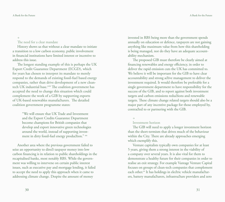→

### The need for a clear mandate

History shows us that without a clear mandate to initiate a transition to a low carbon economy, public involvement in financial institutions have limited interest or incentive to address this issue.

The longest standing example of this is perhaps the UK Export Credit Guarantee Department (ECGD), which for years has chosen to interpret its mandate to merely respond to the demands of existing fossil-fuel based energy companies, rather than drive development of a new cleantech UK industrial base.<sup>xviii</sup> The coalition government has accepted the need to change this situation which could complement the work of a GIB by supporting exports of UK-based renewables manufacturers. The detailed coalition government programme states:

> "We will ensure that UK Trade and Investment and the Export Credits Guarantee Department become champions for British companies that develop and export innovative green technologies around the world, instead of supporting investment in dirty fossil-fuel energy production." xix

Another area where the previous government failed to seize an opportunity to direct taxpayer money into low carbon financing is in relation to public shareholdings in the recapitalised banks, most notably RBS. While the government was willing to intervene on certain public interest issues, such as executive pay and mortgage lending, it failed to accept the need to apply this approach when it came to addressing climate change. Despite the amount of money

invested in RBS being more than the government spends annually on education or defence, taxpayers are not gaining anything like maximum value from how this shareholding is being managed, nor do they have an adequate accountability mechanism.

The proposed GIB must therefore be clearly aimed at financing renewables and energy efficiency, in order to deliver the rapid emission cuts the UK has committed to. We believe it will be important for the GIB to have clear accountability and strong active management to deliver the investment required. It would therefore be preferable for a single government department to have responsibility for the success of the GIB, and to report against both investment targets and carbon emissions reductions and renewable targets. These climate change related targets should also be a major part of any incentive package for those employed by, contracted to or partnering with the GIB.

#### Investment horizon

The GIB will need to apply a longer investment horizon than the short-termism that drives much of the behaviour within the City. There are already approaches emerging which exemplify this.

Venture capitalists typically own companies for at least 5 years, giving them a strong interest in the viability of a company over several years. It is also vital for them to demonstrate a healthy future for their companies in order to realise an exit strategy. For example Vantage Venture Capital focuses on groups of clean-tech companies that complement each other.<sup>xx</sup> It has holdings in electric vehicle manufacturers, battery manufacturers, infrastructure providers and zero

<sup>→</sup>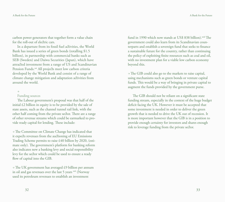carbon power generators that together form a value chain for the roll-out of electric cars.

In a departure from its fossil fuel activities, the World Bank has issued a series of green bonds (totalling \$1.5 billion), in partnership with commercial banks such as SEB (Sweden) and Daiwa Securities (Japan), which have attracted investment from a range of US and Scandinavian Pension Funds.<sup>xxi</sup> All projects meet low carbon criteria developed by the World Bank and consist of a range of climate change mitigation and adaptation activities from around the world.

# →

#### Funding sources

The Labour government's proposal was that half of the initial £2 billion in equity is to be provided by the sale of state assets, such as the channel tunnel rail link, with the other half coming from the private sector. There are a range of other revenue streams which could be earmarked to provide ready capital for lending. These include:

→ The Committee on Climate Change has indicated that it expects revenues from the auctioning of EU Emissions Trading Scheme permits to raise £40 billion by 2020, (estimate only). The government's platform for banking reform also indicates new a banking levy and social responsibility levy for the sector which could be used to ensure a ready flow of capital into the GIB.

 $\rightarrow$  The UK government has averaged £9 billion per annum in oil and gas revenues over the last 5 years xxii (Norway used its petroleum revenues to establish an investment

fund in 1990 which now stands at US\$ 838 billion).<sup>xxiii</sup>The government could also learn from its Scandinavian counterparts and establish a sovereign fund that seeks to finance a sustainable future for the country, rather than continuing the policy of exploiting finite resources such as coal and oil, with no investment plan for a viable low carbon economy beyond this.

 $\rightarrow$  The GIB could also go to the markets to raise capital, using mechanisms such as green bonds or venture capital funds. This would be a way of bringing in private capital to augment the funds provided by the government purse.

The GIB should not be reliant on a significant state funding stream, especially in the context of the huge budget deficit facing the UK. However it must be accepted that some investment is needed in order to deliver the green growth that is needed to drive the UK out of recession. It is more important however that the GIB is in a position to provide enough certainty for investors and shares enough risk to leverage funding from the private sector.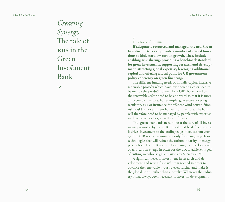*Creating Synergy*  The role of RBS in the Green Investment Bank

 $\rightarrow$ 

## → Functions of the GIB

**If adequately resourced and managed, the new Green Investment Bank can provide a number of crucial func tions to kick-start low-carbon growth. These include enabling risk-sharing, providing a benchmark standard for green investments, supporting research and develop ment, attracting global expertise, leveraging additional capital and offering a focal point for UK government policy coherency on green financing.** 

The different funding needs of initially capital-intensive renewable projects which have low operating costs need to be met by the products offered by a GIB. Risks faced by the renewable sector need to be addressed so that it is more attractive to investors. For example, guarantees covering regulatory risk or insurance for offshore wind construction risk could remove current barriers for investors. The bank will therefore need to be managed by people with expertise in these target sectors, as well as in finance.

The "green" standards need to be at the core of all invest ments promoted by the GIB. This should be defined so that it drives investment to the leading edge of low carbon ener gy. The GIB needs to ensure it is only financing projects or technologies that will reduce the carbon intensity of energy production. The GIB needs to be driving the development of zero-carbon energy in order for the UK to achieve its goal of cutting greenhouse gas emissions by 80% by 2050.

A significant level of investment in research and de velopment and new infrastructure is needed in order to advance the renewable industry even further and make it the global norm, rather than a novelty. Whatever the indus try, it has always been necessary to invest in development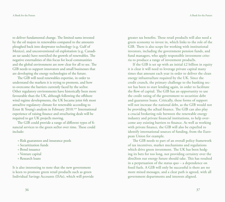to deliver fundamental change. The limited sums invested by the oil majors in renewables compared to the amounts ploughed back into deepwater technology (e.g. Gulf of Mexico), and unconventional oil exploitation (e.g. Canadian tar sands) have restricted the growth of renewables. The negative externalities of this focus for local communities and the global environment are now clear for all to see. The GIB needs to support innovators and small businesses that are developing the energy technologies of the future.

The GIB will need renewables expertise, in order to understand the markets it is trying to promote, and how to overcome the barriers currently faced by the sector. Other regulatory environments have historically been more favourable than the UK, although following the offshore wind regime developments, the UK became joint 6th most attractive regulatory climate for renewable according to Ernst & Young's analysis in February 2010.<sup>xxiv</sup> International experience of raising finance and structuring deals will be required to get UK projects moving.

The GIB could provide a range of different types of financial services to the green sector over time. These could include:

- → Risk guarantees and insurance pools
- → Securitization funds
- → Bond issuance
- → Venture capital
- → Research loans

It is also interesting to note that the new government is keen to promote green retail products such as green Individual Savings Accounts (ISAs), which will provide greater tax benefits. These retail products will also need a green economy to invest in, which links to the role of the GIB. There is also scope for working with institutional investors, including the government pension funds, and fund managers, who apply responsible investment criteria to produce a range of investment products.

If the GIB is set up with an initial  $£2$  billion in equity it is clear it will need to leverage private capital many times that amount each year in order to deliver the clean energy infrastructure required by the UK. Since the credit crunch, the primary challenge to the banking sector has been to start lending again, in order to facilitate the flow of capital. The GIB has an opportunity to use the credit rating of the government to securitize debt and guarantee loans. Critically, these forms of support will not increase the national debt, as the GIB would not be providing the actual finance. The GIB can also play a crucial brokering role between the renewable energy industry and private financial institutions, to help overcome any existing barriers to finance. As well as working with private finance, the GIB will also be expected to identify international sources of funding, from the European Union for example.

The GIB needs to part of an overall policy framework of tax incentives, market mechanisms and regulations which drive green investment. The UK has been hedging its bets for too long, not providing certainty over the direction our energy future should take. This has resulted in a perpetuation of the status quo – a dependence on fossil fuels. A GIB will only be successful is there are no more mixed messages, and a clear path is agreed, with all government departments and interests aligned.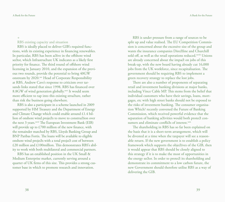→

RBS existing capacity and situation

RBS is ideally placed to deliver GIB's required functions, with its existing experience in financing renewables. In particular, RBS has been active in the offshore wind sector, which Infrastructure UK indicates as a likely first priority for finance. The third round of offshore wind licensing in January 2010, and the expansion of the previous two rounds, provide the potential to bring 40GW onstream by 2020.xxv Head of Corporate Responsibility at RBS, Andrew Cave's response to criticism over tarsands links stated that since 1998, RBS has financed over 8.8GW of wind generation globally.<sup>xxvi</sup> It would seem more efficient to tap into this existing structure, rather than risk the business going elsewhere.

RBS is also a participant in a scheme launched in 2009 supported by HM Treasury and the Department of Energy and Climate Change which could enable around £1.4 billion of onshore wind projects to move to construction over the next 3 years.<sup>xxvii</sup> The European Investment Bank (EIB) will provide up to £700 million of the new finance, with the remainder matched by RBS, Lloyds Banking Group and BNP Paribas Fortis. The loans will be available to eligible onshore wind projects with a total project cost of between £20 million and £100million. This demonstrates RBS's ability to work with both multilateral and commercial partners.

RBS has an established position in the UK Small & Medium Enterprise market, currently serving around a quarter of UK firms of this size. This provides a strong customer base in which to promote research and innovation.

RBS is under pressure from a range of sources to be split up and value realised. The EU Competition Commission is concerned about the excessive size of the group and wants the insurance companies Directline and Churchill sold off, as well as the retail operations reduced.<sup>xxviii</sup> Unions are already concerned about the impact on jobs of this break-up, with the new board having already cut 16,000 jobs from the UK workforce, since recapitalisation. The government should be requiring RBS to implement a green recovery strategy to replace the lost jobs.

There are also a number of proponents of separating retail and investment banking divisions at major banks, including Vince Cable MP. This stems from the belief that individual customers who have their savings, loans, mortgages, etc with high street banks should not be exposed to the risks of investment banking. The consumer organisation Which? recently convened the Future of Banking Commission, which received powerful evidence that the separation of banking activities would both protect consumers and eliminate conflicts of interest.<sup>xxix</sup>

The shareholding in RBS has so far been explained on the basis that it is a short-term arrangement, which will be divested at a time when the taxpayer will see a reasonable return. If the new government is to establish a policy framework which supports the objectives of the GIB, then it would appear that RBS should be closely aligned to this strategy if it is to make the most of opportunities in the energy sector. In order to protect its shareholding and demonstrate its commitment to a low carbon future, the new Government should therefore utilise RBS as a way of delivering the GIB.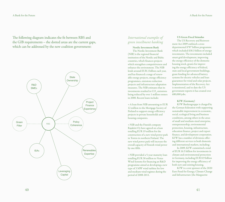The following diagram indicates the fit between RBS and the GIB requirements – the dotted areas are the current gaps, which can be addressed by the new coalition government:



# *International examples of green investment banking*

Nordic Investment Bank The Nordic Investment Bank (NIB) is the regional financial institution of the Nordic and Baltic countries, which finances projects which strengthen competitiveness and enhance the environment. The NIB lends around EUR 2 billion each year, and has financed a range of renewable energy projects, energy efficiency programmes, emissions reduction projects and infrastructure adaptation measures. The NIB estimates that its investments resulted in  $CO<sub>2</sub>$  emissions being reduced by over 1 million tonnes in 2008. Recent loans include:

→ A loan from NIB amounting to EUR 12 million to the Mortgage Society of Finland to support energy-efficiency projects in private households and housing companies.

→ NIB and the Finnish company Rajakiiri Oy have agreed on a loan totalling EUR 19 million for the construction of a new wind power park in Tornio in northern Finland. The new wind power park will increase the overall capacity of Finnish wind power by one-fifth.

→ NIB provided a 5-year-maturity loan totalling EUR 30 million to Vestas Wind Systems for financing an R&D programme aimed at developing a new type of 3 MW wind turbine for low and medium wind regimes during the period of 2008-2011.

#### US Green Fiscal Stimulus

The US Recovery and Reinvestment Act 2009 outlined a crossdepartmental \$787 billion programme which included \$38.3 billion of energy investments. The investments included smart grid development, improving the energy efficiency of the domestic housing stock, grants for improving the energy efficiency of federal, state and local government buildings, grant funding for advanced battery systems for electric vehicles and loan guarantees for wind and solar projects. Implementation of the Recovery Act is monitored, and to date the US government reports it has created over 680,000 jobs.

#### Kf W (Germany)

Kf W Bankengruppe is charged by the German federation with supporting sustainable improvement in economic, social, ecological living and business conditions, among others in the areas of small and medium-sized enterprise, entrepreneurship, environmental protection, housing, infrastructure, education finance, project and export finance, and development cooperation. Kf W has a number of divisions offering different services to both domestic and international markets, including:

In 2009, Kf W committed a total of EUR 16.5 billion for investments in climate and environmental protection in Germany, including EUR 8.9 billion for improving the energy efficiency of both new and existing housing.

Kf W is a core sponsor of the 2020 Euro Fund for Energy, Climate Change and Infrastructure (the Marguerite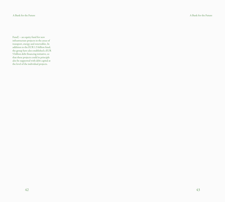A Bank for the Future

A Bank for the Future

Fund) – an equity fund for new infrastructure projects in the areas of transport, energy and renewables. In addition to the EUR 1.5 billion fund, the group have also established a EUR 5 billion debt financing initiative, so that these projects could in principle also be supported with debt capital at the level of the individual projects.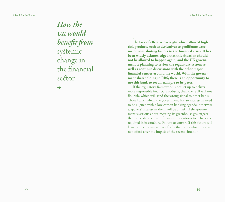*How the uk would benefit from*  systemic change in the financial sector

 $\rightarrow$ 

→

**The lack of effective oversight which allowed high risk products such as derivatives to proliferate were major contributing factors to the financial crisis. It has been widely acknowledged that this situation should not be allowed to happen again, and the UK government is planning to review the regulatory system as well as continue discussions with the other major financial centres around the world. With the government shareholding in RBS, there is an opportunity to use this bank to set an example to its peers.**

If the regulatory framework is not set up to deliver more responsible financial products, then the GIB will not flourish, which will send the wrong signal to other banks. Those banks which the government has an interest in need to be aligned with a low carbon banking agenda, otherwise taxpayers' interest in them will be at risk. If the government is serious about meeting its greenhouse gas targets then it needs to entrain financial institutions to deliver the required infrastructure. Failure to construct this future will leave our economy at risk of a further crisis which it cannot afford after the impact of the recent situation.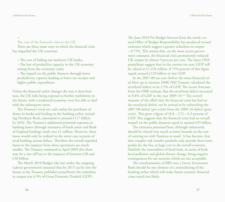→

The cost of the financial crisis to the UK There are three main ways in which the financial crisis has impacted the UK economy:

 $\rightarrow$  The cost of bailing out insolvent UK banks;

 $\rightarrow$  The loss of productive capacity in the UK economy arising from the economic crisis;

 $\rightarrow$  The impact on the public finances through lower productivity capacity leading to lower tax receipts and higher public expenditure.

Unless the financial sector changes the way it does business, the UK risks being exposed to further meltdowns in the future, with a weakened economy even less able to deal with the subsequent stress.

The Treasury's total net cash outlay for purchases of shares in banks and lending to the banking sector, including Northern Rock, amounted to around £117 billion by 2010. The Treasury's additional potential exposure to banking losses (through insurance of bank assets and Bank of England lending) totals over  $£1$  trillion. However, these losses would only be realised in the worst case scenario of total banking system failure. Therefore the overall expected losses to the taxpayer from these operations are much smaller. The Treasury estimated in April 2009 that there may be a one-off loss to the taxpayer of between £20 and £50 billion.

The March 2010 Budget (the last under the outgoing Labour government) assumed that by 2015 (as far into the future as the Treasury publishes projections) the reduction in output was 6.5% of Gross Domestic Product (GDP).

The June 2010 Pre-Budget forecast from the newly created Office of Budget Responsibility has produced revised estimates which suggest a greater reduction in output – 8.75%. This means that, on the most recent government estimates, the financial crisis permanently reduced UK output by almost 9 percent per year. The latest ONS projections suggest that in the current tax year, GDP will be valued at £1.476 trillion. 8.75% percent of this figure equals around £129 billion in lost GDP.

In the 2007-08 tax year (before the main financial crisis blew up in autumn 2008) HM Treasury calculated the structural deficit to be 2.5% of GDP. The recent forecasts from the OBR estimate that the structural deficit increased to 8.8% of GDP in the year 2009-10.xxx The correct measure of the effect that the financial crisis has had on the structural deficit can be arrived at by subtracting the 2007-08 deficit (pre-crisis) from the 2009-10 deficit (postcrisis). This gives a figure of  $(8.8 - 2.5) = 6.3$  percent of GDP. This suggests that the financial crisis had an overall impact on the public finances equal to around £93 billion.

The estimates presented here, although substantial, should be viewed very much as lower bounds on the cost of carrying on with 'business as usual'. It has become clear that complex risk transfer products only provide short-term profits for the few, at huge cost to the overall economy. Similarly the externalities of fossil fuels, in terms of both local pollution and global climate change, bring negative consequences for our societies which are not acceptable.

The transformation of RBS into a Green Investment Bank should be one element of a restructuring of the banking sector which will make future systemic financial crises much less likely.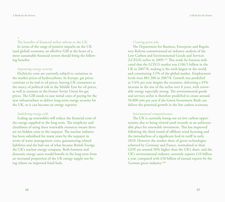#### A Bank for the Future

### →

The benefits of financial sector reform to the UK In terms of the range of positive impacts on the UK (and global) economy, an effective GIB at the heart of a more sustainable financial system should bring the following benefits:

#### *Improving energy security*

Electricity costs are currently subject to variations in the market prices of hydrocarbons. In Europe, gas prices continue to be tied to oil prices, leaving UK consumers at the mercy of political risk in the Middle East for oil prices, as well as tensions in the former Soviet Union for gas prices. The GIB needs to ease initial costs of paying for the new infrastructure to deliver long-term energy security for the UK, so it can become an energy exporter.

# *Stabilising energy costs*

Scaling up renewables will reduce the financial costs of the energy supplied in the long term. The simplicity and cleanliness of using these renewable resources means there are no hidden costs to the taxpayer. The nuclear industry has been subsidised for many years by the taxpayer in terms of waste management costs, guaranteeing related liabilities and the bail-out of what became British Energy, the UK's nuclear energy company. Both business and domestic energy users would benefit in the long term from an increased proportion of the UK energy supply not being reliant on imported fossil fuels.

# *Creating green jobs*

The Department for Business, Enterprise and Regulatory Reform commissioned an industry analysis of the Low Carbon and Environmental Goods and Services (LCEGS) sector in 2009.xxxi This study by Innovas indicated that the LCEGS market was £106.5 billion in the UK in 2007/8, making it the sixth largest in the world, and constituting 3.5% of the global market. Employment levels were 881,300 in 2007/8. Growth was predicted at 5-6% per year despite the recession, delivering a 45% increase in the size of the sector over 8 years, with renewable energy especially strong. The environmental goods and services sector is therefore predicted to create around 50,000 jobs per year if the Green Investment Bank can deliver the potential growth in the low carbon economy.

# *International competitiveness*

The UK is currently losing out on low carbon opportunities due to being viewed until recently as an unfavourable place for renewable investment. This has improved following the third round of offshore wind licensing and the introduction of a significant feed-in tariff in early 2010. However the market share of green technologies achieved by Germany and France, normalised to their GDP, are around 50% higher than the UK's share, and the UK's environmental industry currently exports £10 billion a year, compared with £50 billion of annual exports by the German green industry.<sup>xxxii</sup>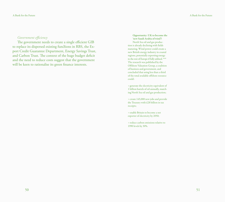# *Government efficiency*

The government needs to create a single efficient GIB to replace its dispersed existing functions in RBS, the Export Credit Guarantee Department, Energy Savings Trust, and Carbon Trust. The context of the huge budget deficit and the need to reduce costs suggest that the government will be keen to rationalise its green finance interests.

Opportunity: UK to become the 'new Saudi Arabia of wind'! North Sea oil and gas production is already declining with fields maturing. Wind power could create a new British energy industry in coastal regions, potentially exporting energy to the rest of Europe if fully utilised. xxxiii The research was published by the Offshore Valuation Group, a coalition of business and government, and concluded that using less than a third of the total available offshore resource could:

→ generate the electricity equivalent of 1 billion barrels of oil annually, matching North Sea oil and gas production;

→ create 145,000 new jobs and provide the Treasury with £28 billion in tax receipts;

→ enable Britain to become a net exporter of electricity by 2050;

→ reduce carbon emissions relative to 1990 levels by 30%.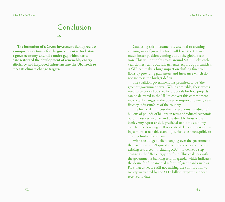# Conclusion

 $\rightarrow$ 

→

**The formation of a Green Investment Bank provides a unique opportunity for the government to kick start a green economy and fill a major gap which has to date restricted the development of renewable, energy efficiency and improved infrastructure the UK needs to meet its climate change targets.**

Catalysing this investment is essential to creating a strong area of growth which will leave the UK in a much better position coming out of the global recession. This will not only create around 50,000 jobs each year domestically, but will generate export opportunities. A GIB can make a huge impact on shifting financial flows by providing guarantees and insurance which do not increase the budget deficit.

The coalition government has promised to be "the greenest government ever." While admirable, these words need to be backed by specific proposals for how projects can be delivered in the UK to convert this commitment into actual changes in the power, transport and energy efficiency infrastructure of the country.

The financial crisis cost the UK economy hundreds of billions of pounds of billions in terms of reduced economic output, lost tax income, and the direct bail-out of the banks. Any repeat crisis is predicted to hit the economy even harder. A strong GIB is a critical element in establishing a more sustainable economy which is less susceptible to creating further fiscal pain.

With the budget deficit hanging over the government, there is a need to act quickly to utilise the government's existing resources – including RBS – to deliver a step change in the UK's energy portfolio. This coalesces with the government's banking reform agenda, which indicates the desire for fundamental reform of giant banks such as RBS that as yet are still not making the contribution to society warranted by the £117 billion taxpayer support received to date.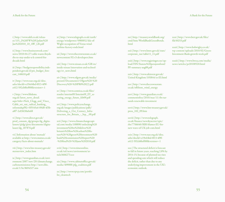i | http://www.ukfi.co.uk/releases/115\_2%20FW%20Update%20 Jan%202010\_10\_AW\_LR.pdf

ii | http://www.businessweek.com/ news/2010-04-27/cable-wants-lloydsrbs-to-stay-under-u-k-control-fordecade.html

iii | http://budgetresponsibility.independent.gov.uk/d/pre\_budget\_forecast\_140610.pdf

iv | http://www.nao.org.uk/idoc. ashx?docId=e19e64bd-0f13-4f9fa412-592cbf6ef00f&version=-1

v | http://www.libdems. org.uk/latest\_news\_detail. aspx?title=Nick\_Clegg\_and\_Vince\_ Cable set out radical banking reforms&pPK=5f5545e6-89d8-4f3ba8f7-2e83638a0e68

vi | http://www.direct.gov.uk/ prod\_consum\_dg/groups/dg\_digitalassets/@dg/@en/documents/digitalasset/dg\_187876.pdf

vii | Information about 'mutuals' available at http://www.mutuo.co.uk/ category/facts-about-mutuals/

viii | http://www.hm-treasury.gov.uk/ sternreview\_index.htm

ix | http://www.guardian.co.uk/environment/2007/nov/29/climatechange. carbonemissionsx http://news.bbc. co.uk/1/hi/8694327.stm

xi | http://www.telegraph.co.uk/earth/ energy/windpower/5988852/Isle-of-Wight-occupation-of-Vestas-windturbine-factory-ends.html

xii | http://www.thecrownestate.co.uk/ newscontent/92-r3-developers.htm

xiii | http://www.nissan.co.uk/GB/en/ inside-nissan/innovation-and-technology/ev\_news.html

xiv | http://www.ofgem.gov.uk/media/ pressrel/Documents1/Ofgem%20-%20 Discovery%20-%20PR8%20(2).pdf

xv | http://www.centrica.co.uk/files/ results/interim09/Interim09\_EY\_securing\_energy\_future\_feb09.pdf

xvi | http://www.policyexchange. org.uk/images/publications/pdfs/ Delivering\_a\_21st\_Century\_Infrastructure\_for\_Britain\_-\_Sep\_\_09.pdf

xvii | http://www.climatechangecapital.com/media/108890/unlocking%20 investment%20to%20deliver%20 britain's%20low%20carbon%20future%20-%20green%20investment%20 bank%20commission%20report%20 -%20final%20-%20june%202010.pdf

xviii | http://www.timesonline. co.uk/tol/news/environment/article3666273.ece

xix | http://www.cabinetoffice.gov.uk/ media/409088/pfg\_coalition.pdf

xx | http://www.vpvp.com/portfolio cleantech

xxi | http://treasury.worldbank.org/ cmd/htm/WorldBankGreenBonds. html

xxii | http://www.hmrc.gov.uk/stats/ corporate\_tax/table11\_11.pdf

xxiii | http://www.regjeringen.no/upload/FIN/Statens%20pensjonsfond/ PF-summary-aug08.pdf

xxiv | http://www.ukinvest.gov.uk/ United-Kingdom/105844/es-ES.html

xxv | http://www.thecrownestate. co.uk/offshore\_wind\_energy

xxvi | http://www.guardian.co.uk/ commentisfree/2010/mar/11/rbs-tarsands-renewable-investment

xxvii | http://www.hm-treasury.gov.uk/ press\_102\_09.htm

xxviii | http://www.telegraph. co.uk/finance/newsbysector/epic/ rbs/7706640/RBS-blames-EU-fornew-wave-of-UK-job-cuts.html

xxix | http://www.nao.org.uk/idoc. ashx?docId=e19e64bd-0f13-4f9fa412-592cbf6ef00f&version=-1

xxx | The structural deficit is forecast to fall in future years, reaching 2.8% by 2014-15; because of planned tax rises and spending cuts which will reduce the deficit, rather than due to any underlying improvement in the UK's economic outlook.

xxxi | http://www.berr.gov.uk/files/ file50253.pdf

xxxii | http://www.bobwigley.co.uk/ wp-content/uploads/2010/02/Green-Investment-Bank-growth-week.pdf

xxxiii | http://www.bwea.com/media/ news/articles/pr20100520.html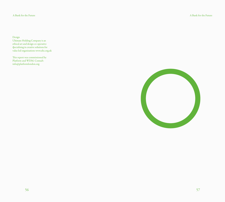Design

Ultimate Holding Company is an ethical art and design co-operative specialising in creative solutions for value led organisations www.uhc.org.uk

This report was commissioned by Platform and WDM. Contact: info@platformlondon.org

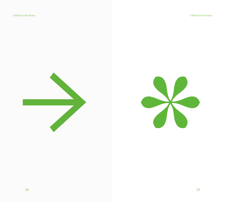A Bank for the Future